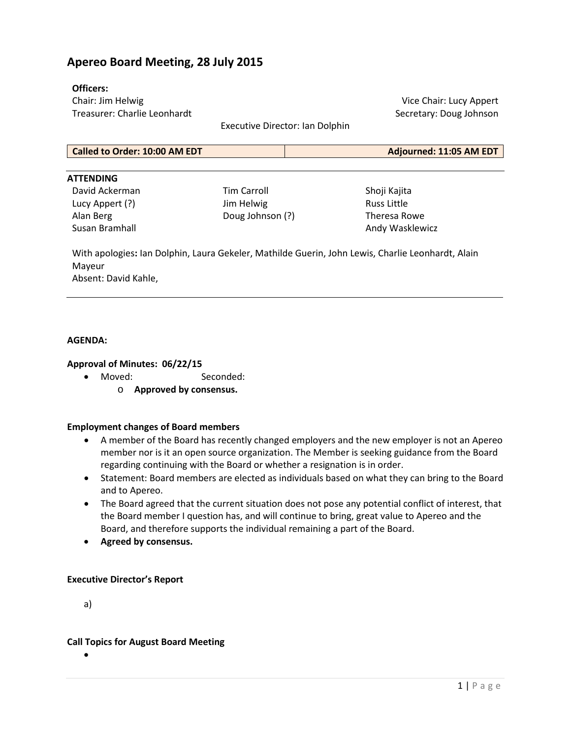# **Apereo Board Meeting, 28 July 2015**

#### **Officers:**

Chair: Jim Helwig Treasurer: Charlie Leonhardt

Vice Chair: Lucy Appert Secretary: Doug Johnson

Executive Director: Ian Dolphin

| Called to Order: 10:00 AM EDT | Adjourned: 11:05 AM EDT |
|-------------------------------|-------------------------|
|                               |                         |

#### **ATTENDING**

David Ackerman Lucy Appert (?) Alan Berg Susan Bramhall

Tim Carroll Jim Helwig Doug Johnson (?) Shoji Kajita Russ Little Theresa Rowe Andy Wasklewicz

With apologies**:** Ian Dolphin, Laura Gekeler, Mathilde Guerin, John Lewis, Charlie Leonhardt, Alain Mayeur Absent: David Kahle,

#### **AGENDA:**

#### **Approval of Minutes: 06/22/15**

- Moved: Seconded:
	- o **Approved by consensus.**

#### **Employment changes of Board members**

- A member of the Board has recently changed employers and the new employer is not an Apereo member nor is it an open source organization. The Member is seeking guidance from the Board regarding continuing with the Board or whether a resignation is in order.
- Statement: Board members are elected as individuals based on what they can bring to the Board and to Apereo.
- The Board agreed that the current situation does not pose any potential conflict of interest, that the Board member I question has, and will continue to bring, great value to Apereo and the Board, and therefore supports the individual remaining a part of the Board.
- **Agreed by consensus.**

#### **Executive Director's Report**

a)

#### **Call Topics for August Board Meeting**

•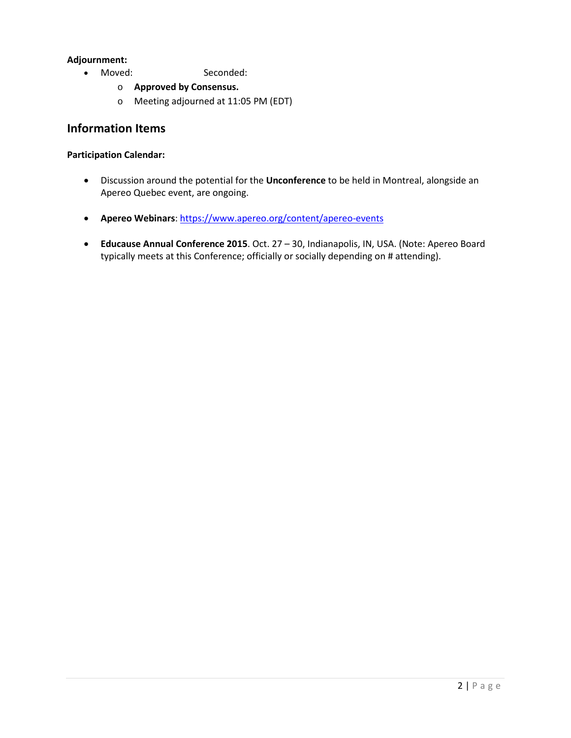### **Adjournment:**

- Moved: Seconded:
	- o **Approved by Consensus.**
	- o Meeting adjourned at 11:05 PM (EDT)

## **Information Items**

#### **Participation Calendar:**

- Discussion around the potential for the **Unconference** to be held in Montreal, alongside an Apereo Quebec event, are ongoing.
- **Apereo Webinars**:<https://www.apereo.org/content/apereo-events>
- **Educause Annual Conference 2015**. Oct. 27 30, Indianapolis, IN, USA. (Note: Apereo Board typically meets at this Conference; officially or socially depending on # attending).